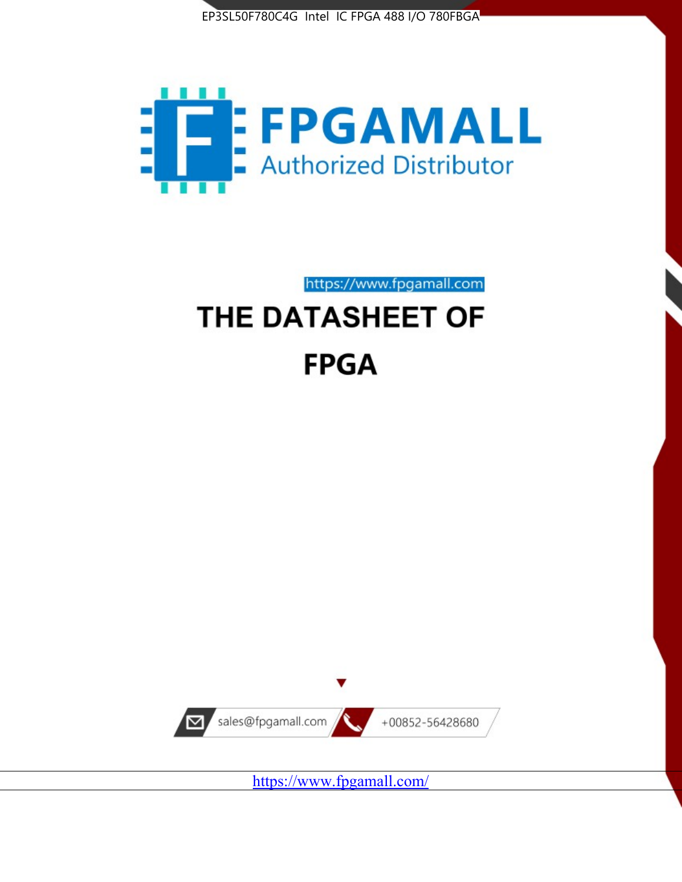



https://www.fpgamall.com

# THE DATASHEET OF **FPGA**



<https://www.fpgamall.com/>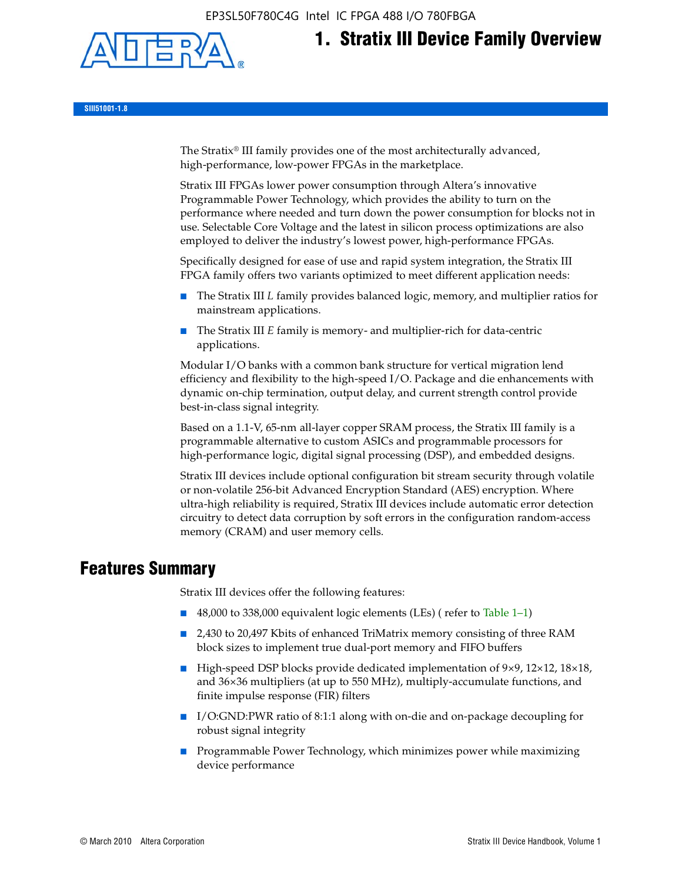EP3SL50F780C4G Intel IC FPGA 488 I/O 780FBGA



# **1. Stratix III Device Family Overview**

**SIII51001-1.8**

The Stratix® III family provides one of the most architecturally advanced, high-performance, low-power FPGAs in the marketplace.

Stratix III FPGAs lower power consumption through Altera's innovative Programmable Power Technology, which provides the ability to turn on the performance where needed and turn down the power consumption for blocks not in use. Selectable Core Voltage and the latest in silicon process optimizations are also employed to deliver the industry's lowest power, high-performance FPGAs.

Specifically designed for ease of use and rapid system integration, the Stratix III FPGA family offers two variants optimized to meet different application needs:

- The Stratix III *L* family provides balanced logic, memory, and multiplier ratios for mainstream applications.
- The Stratix III *E* family is memory- and multiplier-rich for data-centric applications.

Modular I/O banks with a common bank structure for vertical migration lend efficiency and flexibility to the high-speed I/O. Package and die enhancements with dynamic on-chip termination, output delay, and current strength control provide best-in-class signal integrity.

Based on a 1.1-V, 65-nm all-layer copper SRAM process, the Stratix III family is a programmable alternative to custom ASICs and programmable processors for high-performance logic, digital signal processing (DSP), and embedded designs.

Stratix III devices include optional configuration bit stream security through volatile or non-volatile 256-bit Advanced Encryption Standard (AES) encryption. Where ultra-high reliability is required, Stratix III devices include automatic error detection circuitry to detect data corruption by soft errors in the configuration random-access memory (CRAM) and user memory cells.

# **Features Summary**

Stratix III devices offer the following features:

- 48,000 to 338,000 equivalent logic elements (LEs) (refer to Table 1–1)
- 2,430 to 20,497 Kbits of enhanced TriMatrix memory consisting of three RAM block sizes to implement true dual-port memory and FIFO buffers
- High-speed DSP blocks provide dedicated implementation of 9×9, 12×12, 18×18, and 36×36 multipliers (at up to 550 MHz), multiply-accumulate functions, and finite impulse response (FIR) filters
- I/O:GND:PWR ratio of 8:1:1 along with on-die and on-package decoupling for robust signal integrity
- Programmable Power Technology, which minimizes power while maximizing device performance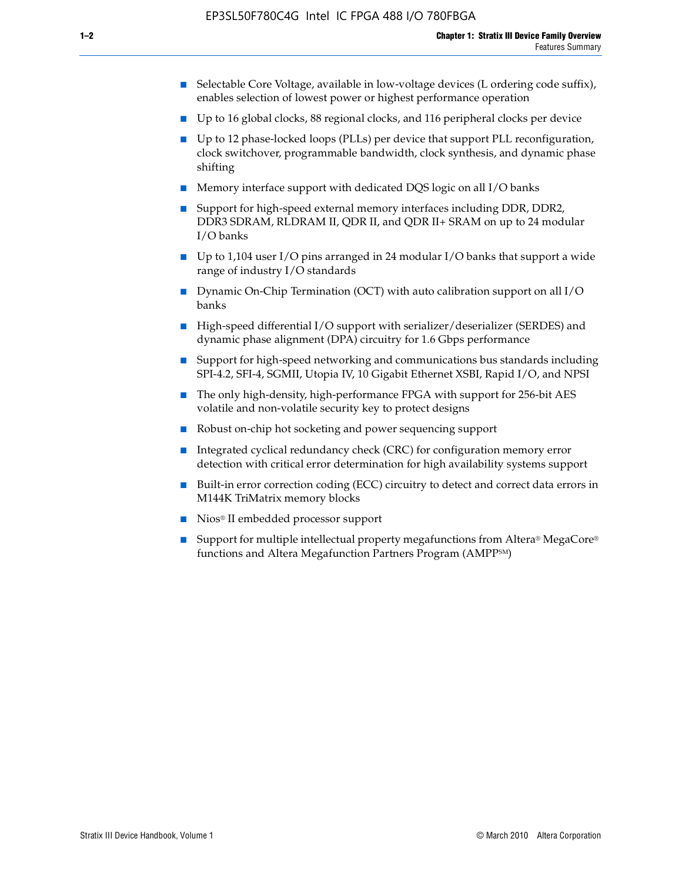- Selectable Core Voltage, available in low-voltage devices (L ordering code suffix), enables selection of lowest power or highest performance operation
- Up to 16 global clocks, 88 regional clocks, and 116 peripheral clocks per device
- Up to 12 phase-locked loops (PLLs) per device that support PLL reconfiguration, clock switchover, programmable bandwidth, clock synthesis, and dynamic phase shifting
- Memory interface support with dedicated DQS logic on all I/O banks
- Support for high-speed external memory interfaces including DDR, DDR2, DDR3 SDRAM, RLDRAM II, QDR II, and QDR II+ SRAM on up to 24 modular I/O banks
- Up to 1,104 user I/O pins arranged in 24 modular I/O banks that support a wide range of industry I/O standards
- Dynamic On-Chip Termination (OCT) with auto calibration support on all  $I/O$ banks
- High-speed differential I/O support with serializer/deserializer (SERDES) and dynamic phase alignment (DPA) circuitry for 1.6 Gbps performance
- Support for high-speed networking and communications bus standards including SPI-4.2, SFI-4, SGMII, Utopia IV, 10 Gigabit Ethernet XSBI, Rapid I/O, and NPSI
- The only high-density, high-performance FPGA with support for 256-bit AES volatile and non-volatile security key to protect designs
- Robust on-chip hot socketing and power sequencing support
- Integrated cyclical redundancy check (CRC) for configuration memory error detection with critical error determination for high availability systems support
- Built-in error correction coding (ECC) circuitry to detect and correct data errors in M144K TriMatrix memory blocks
- Nios<sup>®</sup> II embedded processor support
- Support for multiple intellectual property megafunctions from Altera® MegaCore® functions and Altera Megafunction Partners Program (AMPPSM)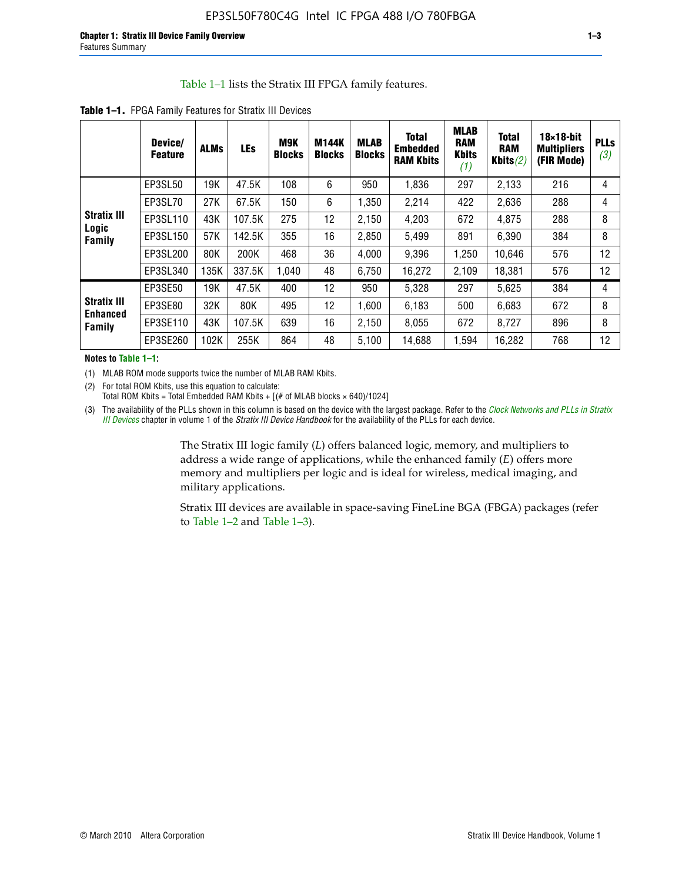#### Table 1–1 lists the Stratix III FPGA family features.

|                                          | Device/<br><b>Feature</b> | <b>ALMs</b> | <b>LEs</b> | M9K<br><b>Blocks</b> | <b>M144K</b><br><b>Blocks</b> | <b>MLAB</b><br><b>Blocks</b> | <b>Total</b><br>Embedded<br><b>RAM Kbits</b> | <b>MLAB</b><br><b>RAM</b><br><b>Kbits</b><br>(1) | <b>Total</b><br><b>RAM</b><br>Kbits $(2)$ | $18\times18$ -bit<br><b>Multipliers</b><br>(FIR Mode) | <b>PLLs</b><br>(3) |
|------------------------------------------|---------------------------|-------------|------------|----------------------|-------------------------------|------------------------------|----------------------------------------------|--------------------------------------------------|-------------------------------------------|-------------------------------------------------------|--------------------|
|                                          | EP3SL50                   | 19K         | 47.5K      | 108                  | 6                             | 950                          | 1,836                                        | 297                                              | 2.133                                     | 216                                                   | 4                  |
|                                          | EP3SL70                   | 27K         | 67.5K      | 150                  | 6                             | 1,350                        | 2,214                                        | 422                                              | 2,636                                     | 288                                                   | 4                  |
| <b>Stratix III</b>                       | EP3SL110                  | 43K         | 107.5K     | 275                  | 12                            | 2,150                        | 4,203                                        | 672                                              | 4,875                                     | 288                                                   | 8                  |
| Logic<br>Family                          | EP3SL150                  | 57K         | 142.5K     | 355                  | 16                            | 2,850                        | 5,499                                        | 891                                              | 6,390                                     | 384                                                   | 8                  |
|                                          | EP3SL200                  | 80K         | 200K       | 468                  | 36                            | 4,000                        | 9,396                                        | 1,250                                            | 10,646                                    | 576                                                   | 12                 |
|                                          | EP3SL340                  | 135K        | 337.5K     | 1,040                | 48                            | 6,750                        | 16,272                                       | 2,109                                            | 18,381                                    | 576                                                   | 12                 |
|                                          | EP3SE50                   | 19K         | 47.5K      | 400                  | 12                            | 950                          | 5,328                                        | 297                                              | 5,625                                     | 384                                                   | 4                  |
| <b>Stratix III</b><br>Enhanced<br>Family | EP3SE80                   | 32K         | 80K        | 495                  | 12                            | 1,600                        | 6,183                                        | 500                                              | 6,683                                     | 672                                                   | 8                  |
|                                          | EP3SE110                  | 43K         | 107.5K     | 639                  | 16                            | 2,150                        | 8,055                                        | 672                                              | 8,727                                     | 896                                                   | 8                  |
|                                          | EP3SE260                  | 102K        | 255K       | 864                  | 48                            | 5,100                        | 14,688                                       | 1,594                                            | 16,282                                    | 768                                                   | 12                 |

**Table 1–1.** FPGA Family Features for Stratix III Devices

**Notes to Table 1–1:**

(1) MLAB ROM mode supports twice the number of MLAB RAM Kbits.

(2) For total ROM Kbits, use this equation to calculate: Total ROM Kbits = Total Embedded RAM Kbits +  $[(# of MLAB blocks × 640)/1024]$ 

(3) The availability of the PLLs shown in this column is based on the device with the largest package. Refer to the *[Clock Networks and PLLs in Stratix](http://www.altera.com/literature/hb/stx3/stx3_siii51006.pdf)  [III Devices](http://www.altera.com/literature/hb/stx3/stx3_siii51006.pdf)* chapter in volume 1 of the *Stratix III Device Handbook* for the availability of the PLLs for each device.

> The Stratix III logic family (*L*) offers balanced logic, memory, and multipliers to address a wide range of applications, while the enhanced family (*E*) offers more memory and multipliers per logic and is ideal for wireless, medical imaging, and military applications.

Stratix III devices are available in space-saving FineLine BGA (FBGA) packages (refer to Table 1–2 and Table 1–3).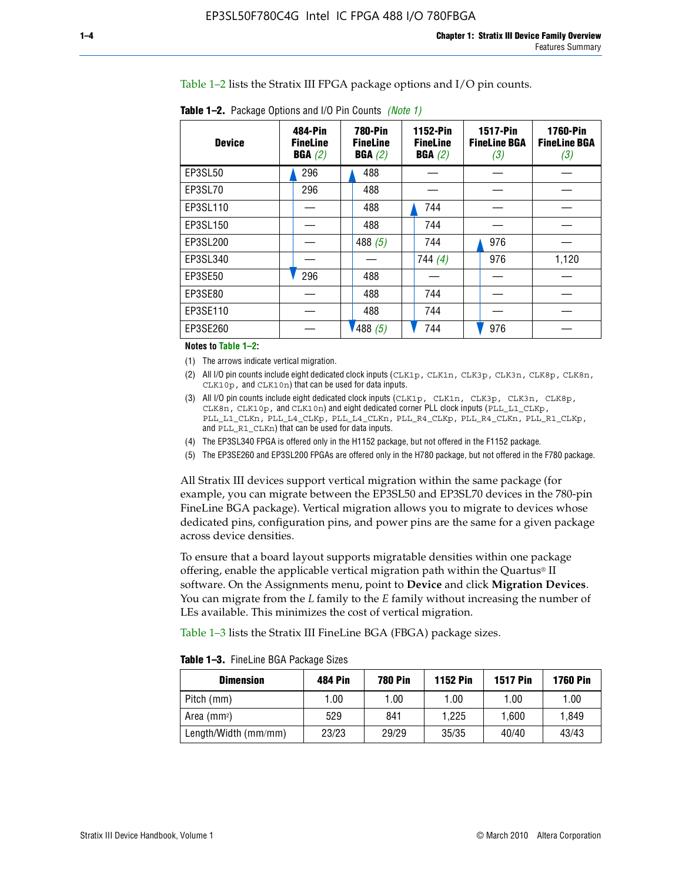Table 1–2 lists the Stratix III FPGA package options and I/O pin counts.

| <b>Device</b>  | 484-Pin<br><b>FineLine</b><br>BGA(2) | <b>780-Pin</b><br><b>FineLine</b><br>BGA(2) | 1152-Pin<br><b>FineLine</b><br>BGA(2) | <b>1517-Pin</b><br><b>FineLine BGA</b><br>(3) | <b>1760-Pin</b><br><b>FineLine BGA</b><br>(3) |
|----------------|--------------------------------------|---------------------------------------------|---------------------------------------|-----------------------------------------------|-----------------------------------------------|
| EP3SL50        | 296                                  | 488                                         |                                       |                                               |                                               |
| EP3SL70        | 296                                  | 488                                         |                                       |                                               |                                               |
| EP3SL110       |                                      | 488                                         | 744                                   |                                               |                                               |
| EP3SL150       |                                      | 488                                         | 744                                   |                                               |                                               |
| EP3SL200       |                                      | 488 $(5)$                                   | 744                                   | 976                                           |                                               |
| EP3SL340       |                                      |                                             | 744 $(4)$                             | 976                                           | 1,120                                         |
| <b>EP3SE50</b> | 296                                  | 488                                         |                                       |                                               |                                               |
| EP3SE80        |                                      | 488                                         | 744                                   |                                               |                                               |
| EP3SE110       |                                      | 488                                         | 744                                   |                                               |                                               |
| EP3SE260       |                                      | 488(5)                                      | 744                                   | 976                                           |                                               |

**Table 1–2.** Package Options and I/O Pin Counts *(Note 1)*

**Notes to Table 1–2:**

(1) The arrows indicate vertical migration.

- (2) All I/O pin counts include eight dedicated clock inputs (CLK1p, CLK1n, CLK3p, CLK3n, CLK8p, CLK8n, CLK10p, and CLK10n) that can be used for data inputs.
- (3) All I/O pin counts include eight dedicated clock inputs (CLK1p, CLK1n, CLK3p, CLK3n, CLK8p, CLK8n, CLK10p, and CLK10n) and eight dedicated corner PLL clock inputs (PLL\_L1\_CLKp, PLL\_L1\_CLKn, PLL\_L4\_CLKp, PLL\_L4\_CLKn, PLL\_R4\_CLKp, PLL\_R4\_CLKn, PLL\_R1\_CLKp, and PLL\_R1\_CLKn) that can be used for data inputs.
- (4) The EP3SL340 FPGA is offered only in the H1152 package, but not offered in the F1152 package.
- (5) The EP3SE260 and EP3SL200 FPGAs are offered only in the H780 package, but not offered in the F780 package.

All Stratix III devices support vertical migration within the same package (for example, you can migrate between the EP3SL50 and EP3SL70 devices in the 780-pin FineLine BGA package). Vertical migration allows you to migrate to devices whose dedicated pins, configuration pins, and power pins are the same for a given package across device densities.

To ensure that a board layout supports migratable densities within one package offering, enable the applicable vertical migration path within the Quartus® II software. On the Assignments menu, point to **Device** and click **Migration Devices**. You can migrate from the *L* family to the *E* family without increasing the number of LEs available. This minimizes the cost of vertical migration.

Table 1–3 lists the Stratix III FineLine BGA (FBGA) package sizes.

**Table 1–3.** FineLine BGA Package Sizes

| <b>Dimension</b>     | <b>484 Pin</b> | <b>780 Pin</b> | <b>1152 Pin</b> | <b>1517 Pin</b> | <b>1760 Pin</b> |
|----------------------|----------------|----------------|-----------------|-----------------|-----------------|
| Pitch (mm)           | 1.00           | 1.00           | 1.00            | 1.00            | 1.00            |
| Area $(mm2)$         | 529            | 841            | 1.225           | 1.600           | 1.849           |
| Length/Width (mm/mm) | 23/23          | 29/29          | 35/35           | 40/40           | 43/43           |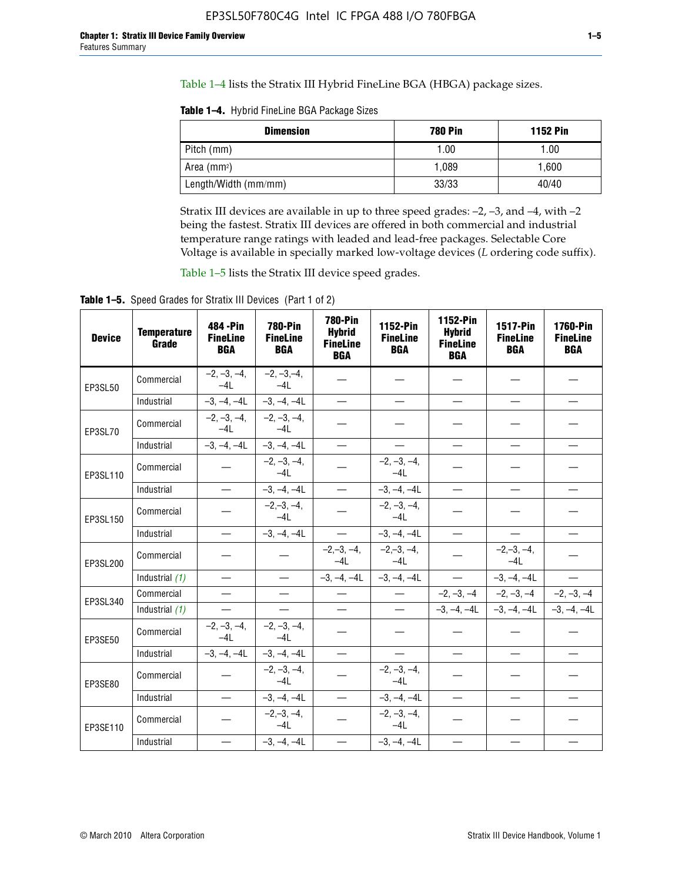Table 1–4 lists the Stratix III Hybrid FineLine BGA (HBGA) package sizes.

**Table 1–4.** Hybrid FineLine BGA Package Sizes

| <b>Dimension</b>        | <b>780 Pin</b> | <b>1152 Pin</b> |
|-------------------------|----------------|-----------------|
| Pitch (mm)              | 1.00           | 1.00            |
| Area (mm <sup>2</sup> ) | 1.089          | 1.600           |
| Length/Width (mm/mm)    | 33/33          | 40/40           |

Stratix III devices are available in up to three speed grades: –2, –3, and –4, with –2 being the fastest. Stratix III devices are offered in both commercial and industrial temperature range ratings with leaded and lead-free packages. Selectable Core Voltage is available in specially marked low-voltage devices (*L* ordering code suffix).

Table 1–5 lists the Stratix III device speed grades.

Table 1-5. Speed Grades for Stratix III Devices (Part 1 of 2)

| <b>Device</b> | <b>Temperature</b><br>Grade | 484 - Pin<br><b>FineLine</b><br><b>BGA</b> | <b>780-Pin</b><br><b>FineLine</b><br><b>BGA</b> | <b>780-Pin</b><br><b>Hybrid</b><br><b>FineLine</b><br><b>BGA</b> | 1152-Pin<br><b>FineLine</b><br><b>BGA</b> | 1152-Pin<br><b>Hybrid</b><br><b>FineLine</b><br><b>BGA</b> | 1517-Pin<br><b>FineLine</b><br><b>BGA</b> | <b>1760-Pin</b><br><b>FineLine</b><br><b>BGA</b> |
|---------------|-----------------------------|--------------------------------------------|-------------------------------------------------|------------------------------------------------------------------|-------------------------------------------|------------------------------------------------------------|-------------------------------------------|--------------------------------------------------|
| EP3SL50       | Commercial                  | $-2, -3, -4,$<br>$-4L$                     | $-2, -3, -4,$<br>$-4L$                          |                                                                  |                                           |                                                            |                                           |                                                  |
|               | Industrial                  | $-3, -4, -4L$                              | $-3, -4, -4L$                                   | $\overline{\phantom{0}}$                                         | $\equiv$                                  | $\equiv$                                                   | $\equiv$                                  | $\equiv$                                         |
| EP3SL70       | Commercial                  | $-2, -3, -4,$<br>$-41$                     | $-2, -3, -4,$<br>$-41$                          |                                                                  |                                           |                                                            |                                           |                                                  |
|               | Industrial                  | $-3, -4, -4L$                              | $-3, -4, -4L$                                   | $\equiv$                                                         |                                           |                                                            | $\overline{\phantom{0}}$                  | $\overline{\phantom{0}}$                         |
| EP3SL110      | Commercial                  |                                            | $-2, -3, -4,$<br>$-4L$                          |                                                                  | $-2, -3, -4,$<br>$-4L$                    |                                                            |                                           |                                                  |
|               | Industrial                  | $\equiv$                                   | $-3, -4, -4L$                                   | $\qquad \qquad -$                                                | $-3, -4, -4L$                             | $\equiv$                                                   | $\equiv$                                  | $\equiv$                                         |
| EP3SL150      | Commercial                  |                                            | $-2, -3, -4,$<br>$-4L$                          |                                                                  | $-2, -3, -4,$<br>$-41$                    |                                                            |                                           |                                                  |
|               | Industrial                  |                                            | $-3, -4, -4L$                                   | $\frac{1}{2}$                                                    | $-3, -4, -4L$                             | $\overline{\phantom{m}}$                                   | $\overline{\phantom{0}}$                  | $\overline{\phantom{0}}$                         |
| EP3SL200      | Commercial                  |                                            |                                                 | $-2, -3, -4,$<br>$-4L$                                           | $-2, -3, -4,$<br>$-4L$                    |                                                            | $-2,-3,-4,$<br>$-4L$                      |                                                  |
|               | Industrial (1)              | $\equiv$                                   | $\equiv$                                        | $-3, -4, -4L$                                                    | $-3, -4, -4L$                             | $\frac{1}{1}$                                              | $-3, -4, -4L$                             | $\equiv$                                         |
| EP3SL340      | Commercial                  |                                            | $\equiv$                                        |                                                                  | $\overline{\phantom{a}}$                  |                                                            | $-2, -3, -4$ $-2, -3, -4$                 | $-2, -3, -4$                                     |
|               | Industrial (1)              |                                            | $\equiv$                                        | $\qquad \qquad$                                                  | $\overline{\phantom{0}}$                  |                                                            | $-3, -4, -4$ $-4$ $-3, -4, -4$            | $-3, -4, -4L$                                    |
| EP3SE50       | Commercial                  | $-2, -3, -4,$<br>$-4L$                     | $-2, -3, -4,$<br>$-4L$                          |                                                                  |                                           |                                                            |                                           |                                                  |
|               | Industrial                  | $-3, -4, -4L$                              | $-3, -4, -4L$                                   | $\equiv$                                                         | $\equiv$                                  | $\equiv$                                                   | $\equiv$                                  | $\equiv$                                         |
| EP3SE80       | Commercial                  |                                            | $-2, -3, -4,$<br>$-4L$                          |                                                                  | $-2, -3, -4,$<br>$-4L$                    |                                                            |                                           |                                                  |
|               | Industrial                  |                                            | $-3, -4, -4L$                                   |                                                                  | $-3, -4, -4L$                             |                                                            | $\equiv$                                  |                                                  |
| EP3SE110      | Commercial                  |                                            | $-2, -3, -4,$<br>$-4L$                          |                                                                  | $-2, -3, -4,$<br>$-4L$                    |                                                            |                                           |                                                  |
|               | Industrial                  |                                            | $-3, -4, -4L$                                   | $\overline{\phantom{0}}$                                         | $-3, -4, -4L$                             |                                                            |                                           |                                                  |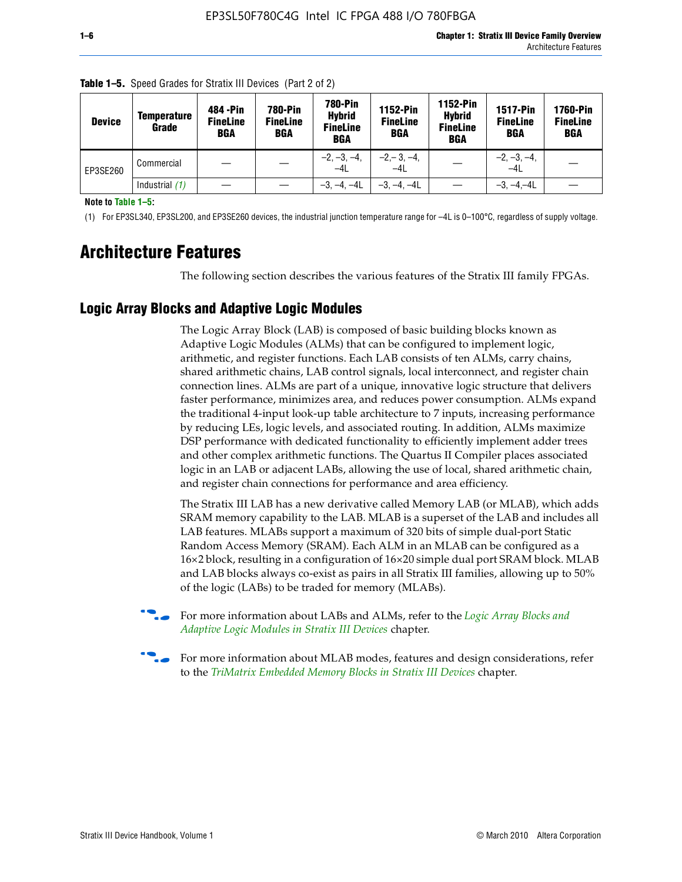| <b>Device</b> | Temperature<br>Grade | 484 - Pin<br><b>FineLine</b><br><b>BGA</b> | <b>780-Pin</b><br><b>FineLine</b><br>BGA | 780-Pin<br><b>Hybrid</b><br><b>FineLine</b><br><b>BGA</b> | 1152-Pin<br><b>FineLine</b><br><b>BGA</b> | 1152-Pin<br><b>Hybrid</b><br><b>FineLine</b><br><b>BGA</b> | <b>1517-Pin</b><br><b>FineLine</b><br>BGA | 1760-Pin<br><b>FineLine</b><br>BGA |
|---------------|----------------------|--------------------------------------------|------------------------------------------|-----------------------------------------------------------|-------------------------------------------|------------------------------------------------------------|-------------------------------------------|------------------------------------|
| EP3SE260      | Commercial           |                                            |                                          | $-2, -3, -4,$<br>$-4L$                                    | $-2, -3, -4,$<br>$-4L$                    |                                                            | $-2, -3, -4,$<br>$-4L$                    |                                    |
|               | Industrial $(1)$     |                                            |                                          | $-3, -4, -4L$                                             | $-3, -4, -4L$                             |                                                            | $-3, -4, -4L$                             |                                    |

**Table 1–5.** Speed Grades for Stratix III Devices (Part 2 of 2)

**Note to Table 1–5:**

(1) For EP3SL340, EP3SL200, and EP3SE260 devices, the industrial junction temperature range for –4L is 0–100°C, regardless of supply voltage.

# **Architecture Features**

The following section describes the various features of the Stratix III family FPGAs.

## **Logic Array Blocks and Adaptive Logic Modules**

The Logic Array Block (LAB) is composed of basic building blocks known as Adaptive Logic Modules (ALMs) that can be configured to implement logic, arithmetic, and register functions. Each LAB consists of ten ALMs, carry chains, shared arithmetic chains, LAB control signals, local interconnect, and register chain connection lines. ALMs are part of a unique, innovative logic structure that delivers faster performance, minimizes area, and reduces power consumption. ALMs expand the traditional 4-input look-up table architecture to 7 inputs, increasing performance by reducing LEs, logic levels, and associated routing. In addition, ALMs maximize DSP performance with dedicated functionality to efficiently implement adder trees and other complex arithmetic functions. The Quartus II Compiler places associated logic in an LAB or adjacent LABs, allowing the use of local, shared arithmetic chain, and register chain connections for performance and area efficiency.

The Stratix III LAB has a new derivative called Memory LAB (or MLAB), which adds SRAM memory capability to the LAB. MLAB is a superset of the LAB and includes all LAB features. MLABs support a maximum of 320 bits of simple dual-port Static Random Access Memory (SRAM). Each ALM in an MLAB can be configured as a 16×2 block, resulting in a configuration of 16×20 simple dual port SRAM block. MLAB and LAB blocks always co-exist as pairs in all Stratix III families, allowing up to 50% of the logic (LABs) to be traded for memory (MLABs).



f For more information about LABs and ALMs, refer to the *[Logic Array Blocks and](http://www.altera.com/literature/hb/stx3/stx3_siii51002.pdf)  [Adaptive Logic Modules in Stratix III Devices](http://www.altera.com/literature/hb/stx3/stx3_siii51002.pdf)* chapter.



For more information about MLAB modes, features and design considerations, refer to the *[TriMatrix Embedded Memory Blocks in Stratix III Devices](http://www.altera.com/literature/hb/stx3/stx3_siii51004.pdf)* chapter.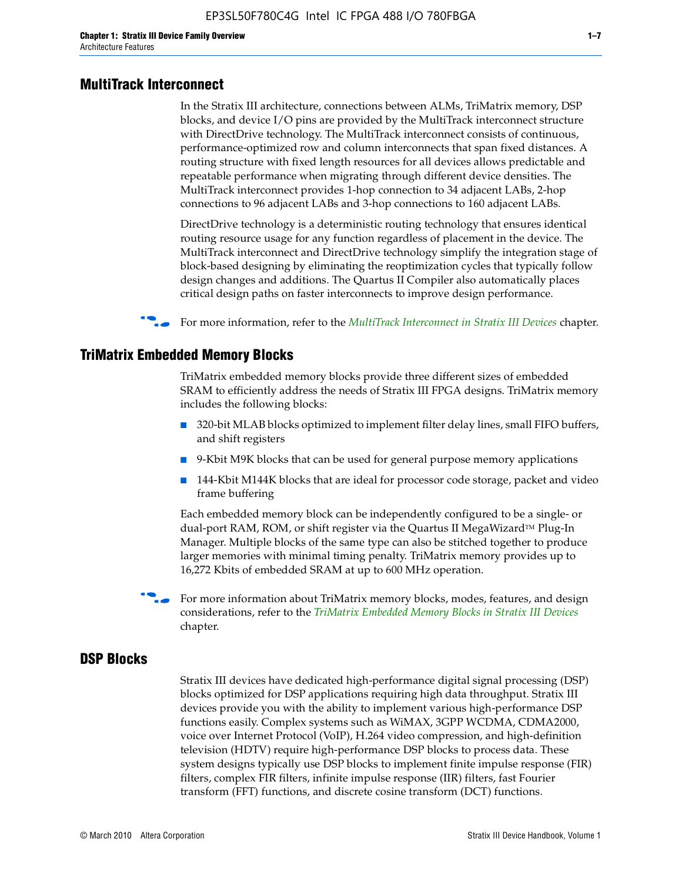#### **MultiTrack Interconnect**

In the Stratix III architecture, connections between ALMs, TriMatrix memory, DSP blocks, and device I/O pins are provided by the MultiTrack interconnect structure with DirectDrive technology. The MultiTrack interconnect consists of continuous, performance-optimized row and column interconnects that span fixed distances. A routing structure with fixed length resources for all devices allows predictable and repeatable performance when migrating through different device densities. The MultiTrack interconnect provides 1-hop connection to 34 adjacent LABs, 2-hop connections to 96 adjacent LABs and 3-hop connections to 160 adjacent LABs.

DirectDrive technology is a deterministic routing technology that ensures identical routing resource usage for any function regardless of placement in the device. The MultiTrack interconnect and DirectDrive technology simplify the integration stage of block-based designing by eliminating the reoptimization cycles that typically follow design changes and additions. The Quartus II Compiler also automatically places critical design paths on faster interconnects to improve design performance.

#### f For more information, refer to the *[MultiTrack Interconnect in Stratix III Devices](http://www.altera.com/literature/hb/stx3/stx3_siii51003.pdf)* chapter.

#### **TriMatrix Embedded Memory Blocks**

TriMatrix embedded memory blocks provide three different sizes of embedded SRAM to efficiently address the needs of Stratix III FPGA designs. TriMatrix memory includes the following blocks:

- 320-bit MLAB blocks optimized to implement filter delay lines, small FIFO buffers, and shift registers
- 9-Kbit M9K blocks that can be used for general purpose memory applications
- 144-Kbit M144K blocks that are ideal for processor code storage, packet and video frame buffering

Each embedded memory block can be independently configured to be a single- or dual-port RAM, ROM, or shift register via the Quartus II MegaWizard™ Plug-In Manager. Multiple blocks of the same type can also be stitched together to produce larger memories with minimal timing penalty. TriMatrix memory provides up to 16,272 Kbits of embedded SRAM at up to 600 MHz operation.

For more information about TriMatrix memory blocks, modes, features, and design considerations, refer to the *[TriMatrix Embedded Memory Blocks in Stratix III Devices](http://www.altera.com/literature/hb/stx3/stx3_siii51004.pdf)* chapter.

#### **DSP Blocks**

Stratix III devices have dedicated high-performance digital signal processing (DSP) blocks optimized for DSP applications requiring high data throughput. Stratix III devices provide you with the ability to implement various high-performance DSP functions easily. Complex systems such as WiMAX, 3GPP WCDMA, CDMA2000, voice over Internet Protocol (VoIP), H.264 video compression, and high-definition television (HDTV) require high-performance DSP blocks to process data. These system designs typically use DSP blocks to implement finite impulse response (FIR) filters, complex FIR filters, infinite impulse response (IIR) filters, fast Fourier transform (FFT) functions, and discrete cosine transform (DCT) functions.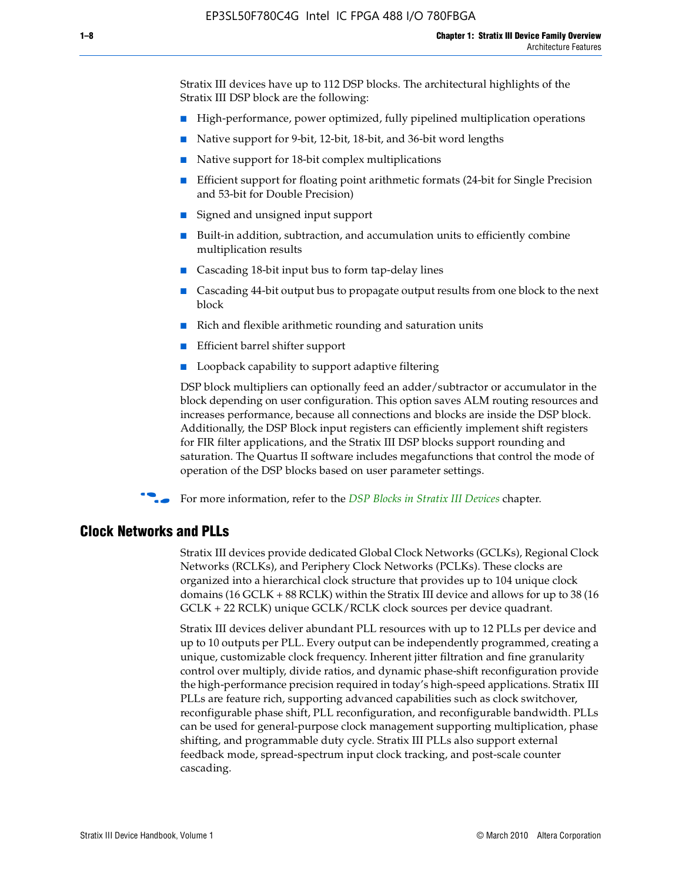Stratix III devices have up to 112 DSP blocks. The architectural highlights of the Stratix III DSP block are the following:

- High-performance, power optimized, fully pipelined multiplication operations
- Native support for 9-bit, 12-bit, 18-bit, and 36-bit word lengths
- Native support for 18-bit complex multiplications
- Efficient support for floating point arithmetic formats (24-bit for Single Precision and 53-bit for Double Precision)
- Signed and unsigned input support
- Built-in addition, subtraction, and accumulation units to efficiently combine multiplication results
- Cascading 18-bit input bus to form tap-delay lines
- Cascading 44-bit output bus to propagate output results from one block to the next block
- Rich and flexible arithmetic rounding and saturation units
- Efficient barrel shifter support
- Loopback capability to support adaptive filtering

DSP block multipliers can optionally feed an adder/subtractor or accumulator in the block depending on user configuration. This option saves ALM routing resources and increases performance, because all connections and blocks are inside the DSP block. Additionally, the DSP Block input registers can efficiently implement shift registers for FIR filter applications, and the Stratix III DSP blocks support rounding and saturation. The Quartus II software includes megafunctions that control the mode of operation of the DSP blocks based on user parameter settings.

f For more information, refer to the *[DSP Blocks in Stratix III Devices](http://www.altera.com/literature/hb/stx3/stx3_siii51005.pdf)* chapter.

#### **Clock Networks and PLLs**

Stratix III devices provide dedicated Global Clock Networks (GCLKs), Regional Clock Networks (RCLKs), and Periphery Clock Networks (PCLKs). These clocks are organized into a hierarchical clock structure that provides up to 104 unique clock domains (16 GCLK + 88 RCLK) within the Stratix III device and allows for up to 38 (16 GCLK + 22 RCLK) unique GCLK/RCLK clock sources per device quadrant.

Stratix III devices deliver abundant PLL resources with up to 12 PLLs per device and up to 10 outputs per PLL. Every output can be independently programmed, creating a unique, customizable clock frequency. Inherent jitter filtration and fine granularity control over multiply, divide ratios, and dynamic phase-shift reconfiguration provide the high-performance precision required in today's high-speed applications. Stratix III PLLs are feature rich, supporting advanced capabilities such as clock switchover, reconfigurable phase shift, PLL reconfiguration, and reconfigurable bandwidth. PLLs can be used for general-purpose clock management supporting multiplication, phase shifting, and programmable duty cycle. Stratix III PLLs also support external feedback mode, spread-spectrum input clock tracking, and post-scale counter cascading.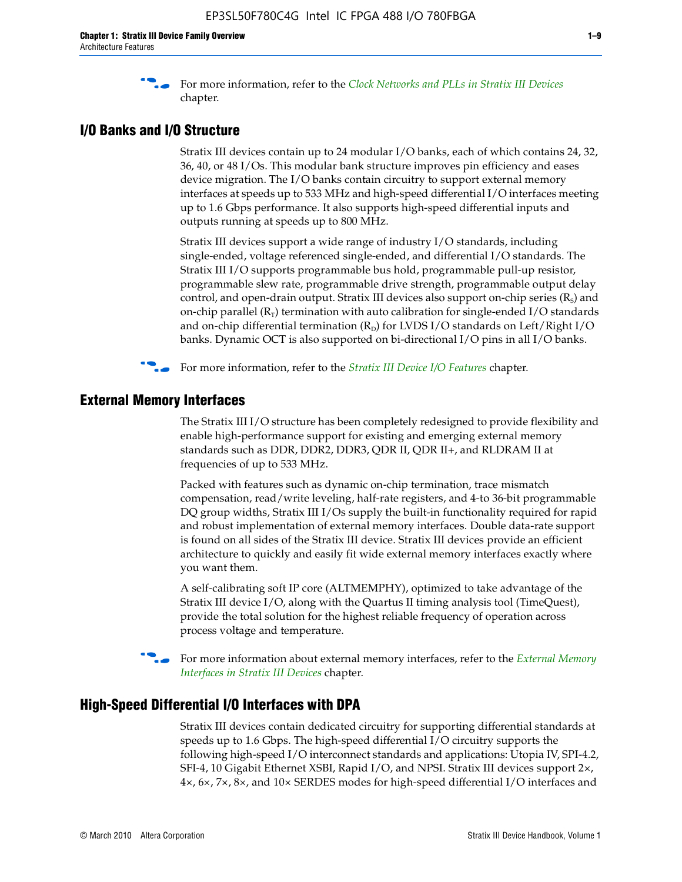f For more information, refer to the *[Clock Networks and PLLs in Stratix III Devices](http://www.altera.com/literature/hb/stx3/stx3_siii51006.pdf)* chapter.

### **I/O Banks and I/O Structure**

Stratix III devices contain up to 24 modular I/O banks, each of which contains 24, 32, 36, 40, or 48 I/Os. This modular bank structure improves pin efficiency and eases device migration. The I/O banks contain circuitry to support external memory interfaces at speeds up to 533 MHz and high-speed differential I/O interfaces meeting up to 1.6 Gbps performance. It also supports high-speed differential inputs and outputs running at speeds up to 800 MHz.

Stratix III devices support a wide range of industry I/O standards, including single-ended, voltage referenced single-ended, and differential I/O standards. The Stratix III I/O supports programmable bus hold, programmable pull-up resistor, programmable slew rate, programmable drive strength, programmable output delay control, and open-drain output. Stratix III devices also support on-chip series  $(R<sub>s</sub>)$  and on-chip parallel  $(R_T)$  termination with auto calibration for single-ended I/O standards and on-chip differential termination  $(R_D)$  for LVDS I/O standards on Left/Right I/O banks. Dynamic OCT is also supported on bi-directional I/O pins in all I/O banks.

**For more information, refer to the** *[Stratix III Device I/O Features](http://www.altera.com/literature/hb/stx3/stx3_siii51007.pdf)* **chapter.** 

# **External Memory Interfaces**

The Stratix III I/O structure has been completely redesigned to provide flexibility and enable high-performance support for existing and emerging external memory standards such as DDR, DDR2, DDR3, QDR II, QDR II+, and RLDRAM II at frequencies of up to 533 MHz.

Packed with features such as dynamic on-chip termination, trace mismatch compensation, read/write leveling, half-rate registers, and 4-to 36-bit programmable DQ group widths, Stratix III I/Os supply the built-in functionality required for rapid and robust implementation of external memory interfaces. Double data-rate support is found on all sides of the Stratix III device. Stratix III devices provide an efficient architecture to quickly and easily fit wide external memory interfaces exactly where you want them.

A self-calibrating soft IP core (ALTMEMPHY), optimized to take advantage of the Stratix III device I/O, along with the Quartus II timing analysis tool (TimeQuest), provide the total solution for the highest reliable frequency of operation across process voltage and temperature.

f For more information about external memory interfaces, refer to the *[External Memory](http://www.altera.com/literature/hb/stx3/stx3_siii51008.pdf)  [Interfaces in Stratix III Devices](http://www.altera.com/literature/hb/stx3/stx3_siii51008.pdf)* chapter.

#### **High-Speed Differential I/O Interfaces with DPA**

Stratix III devices contain dedicated circuitry for supporting differential standards at speeds up to 1.6 Gbps. The high-speed differential I/O circuitry supports the following high-speed I/O interconnect standards and applications: Utopia IV, SPI-4.2, SFI-4, 10 Gigabit Ethernet XSBI, Rapid I/O, and NPSI. Stratix III devices support 2×, 4×, 6×, 7×, 8×, and 10× SERDES modes for high-speed differential I/O interfaces and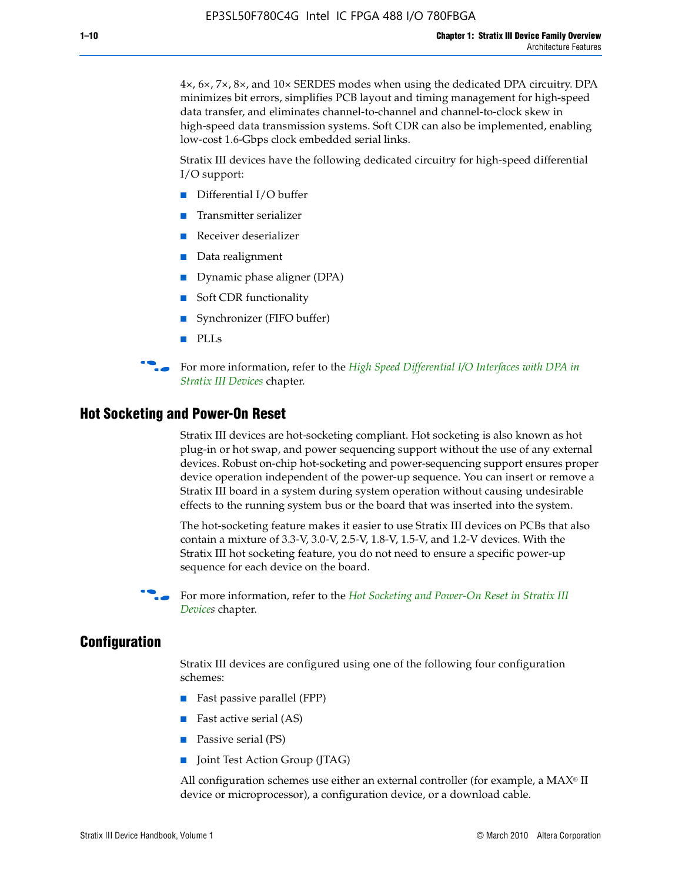4×, 6×, 7×, 8×, and 10× SERDES modes when using the dedicated DPA circuitry. DPA minimizes bit errors, simplifies PCB layout and timing management for high-speed data transfer, and eliminates channel-to-channel and channel-to-clock skew in high-speed data transmission systems. Soft CDR can also be implemented, enabling low-cost 1.6-Gbps clock embedded serial links.

Stratix III devices have the following dedicated circuitry for high-speed differential I/O support:

- Differential I/O buffer
- Transmitter serializer
- Receiver deserializer
- Data realignment
- Dynamic phase aligner (DPA)
- Soft CDR functionality
- Synchronizer (FIFO buffer)
- PLLs

**for more information, refer to the** *High Speed Differential I/O Interfaces with DPA in [Stratix III Devices](http://www.altera.com/literature/hb/stx3/stx3_siii51009.pdf)* chapter.

#### **Hot Socketing and Power-On Reset**

Stratix III devices are hot-socketing compliant. Hot socketing is also known as hot plug-in or hot swap, and power sequencing support without the use of any external devices. Robust on-chip hot-socketing and power-sequencing support ensures proper device operation independent of the power-up sequence. You can insert or remove a Stratix III board in a system during system operation without causing undesirable effects to the running system bus or the board that was inserted into the system.

The hot-socketing feature makes it easier to use Stratix III devices on PCBs that also contain a mixture of 3.3-V, 3.0-V, 2.5-V, 1.8-V, 1.5-V, and 1.2-V devices. With the Stratix III hot socketing feature, you do not need to ensure a specific power-up sequence for each device on the board.

f For more information, refer to the *[Hot Socketing and Power-On Reset in Stratix III](http://www.altera.com/literature/hb/stx3/stx3_siii51010.pdf)  [Device](http://www.altera.com/literature/hb/stx3/stx3_siii51010.pdf)s* chapter.

#### **Configuration**

Stratix III devices are configured using one of the following four configuration schemes:

- Fast passive parallel (FPP)
- Fast active serial (AS)
- Passive serial (PS)
- Joint Test Action Group (JTAG)

All configuration schemes use either an external controller (for example, a  $MAX<sup>®</sup>$  II device or microprocessor), a configuration device, or a download cable.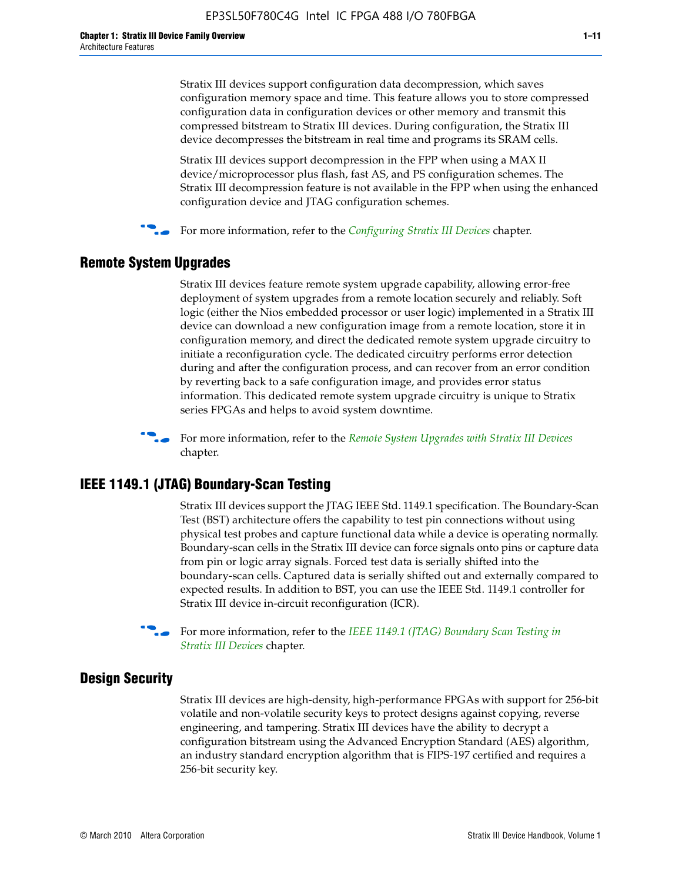Stratix III devices support configuration data decompression, which saves configuration memory space and time. This feature allows you to store compressed configuration data in configuration devices or other memory and transmit this compressed bitstream to Stratix III devices. During configuration, the Stratix III device decompresses the bitstream in real time and programs its SRAM cells.

Stratix III devices support decompression in the FPP when using a MAX II device/microprocessor plus flash, fast AS, and PS configuration schemes. The Stratix III decompression feature is not available in the FPP when using the enhanced configuration device and JTAG configuration schemes.

For more information, refer to the *[Configuring Stratix III Devices](http://www.altera.com/literature/hb/stx3/stx3_siii51011.pdf)* chapter.

## **Remote System Upgrades**

Stratix III devices feature remote system upgrade capability, allowing error-free deployment of system upgrades from a remote location securely and reliably. Soft logic (either the Nios embedded processor or user logic) implemented in a Stratix III device can download a new configuration image from a remote location, store it in configuration memory, and direct the dedicated remote system upgrade circuitry to initiate a reconfiguration cycle. The dedicated circuitry performs error detection during and after the configuration process, and can recover from an error condition by reverting back to a safe configuration image, and provides error status information. This dedicated remote system upgrade circuitry is unique to Stratix series FPGAs and helps to avoid system downtime.



**For more information, refer to the** *[Remote System Upgrades with Stratix III Devices](http://www.altera.com/literature/hb/stx3/stx3_siii51012.pdf)* chapter.

# **IEEE 1149.1 (JTAG) Boundary-Scan Testing**

Stratix III devices support the JTAG IEEE Std. 1149.1 specification. The Boundary-Scan Test (BST) architecture offers the capability to test pin connections without using physical test probes and capture functional data while a device is operating normally. Boundary-scan cells in the Stratix III device can force signals onto pins or capture data from pin or logic array signals. Forced test data is serially shifted into the boundary-scan cells. Captured data is serially shifted out and externally compared to expected results. In addition to BST, you can use the IEEE Std. 1149.1 controller for Stratix III device in-circuit reconfiguration (ICR).

For more information, refer to the *IEEE 1149.1 (JTAG) Boundary Scan Testing in [Stratix III Devices](http://www.altera.com/literature/hb/stx3/stx3_siii51013.pdf)* chapter.

## **Design Security**

Stratix III devices are high-density, high-performance FPGAs with support for 256-bit volatile and non-volatile security keys to protect designs against copying, reverse engineering, and tampering. Stratix III devices have the ability to decrypt a configuration bitstream using the Advanced Encryption Standard (AES) algorithm, an industry standard encryption algorithm that is FIPS-197 certified and requires a 256-bit security key.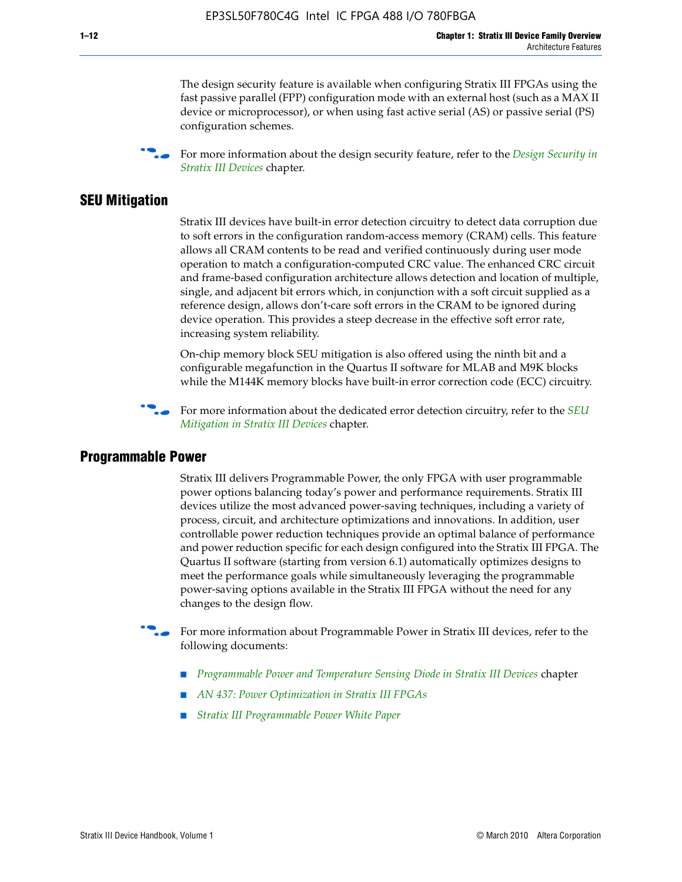The design security feature is available when configuring Stratix III FPGAs using the fast passive parallel (FPP) configuration mode with an external host (such as a MAX II device or microprocessor), or when using fast active serial (AS) or passive serial (PS) configuration schemes.

f For more information about the design security feature, refer to the *[Design Security in](http://www.altera.com/literature/hb/stx3/stx3_siii51014.pdf)  [Stratix III Devices](http://www.altera.com/literature/hb/stx3/stx3_siii51014.pdf)* chapter.

#### **SEU Mitigation**

Stratix III devices have built-in error detection circuitry to detect data corruption due to soft errors in the configuration random-access memory (CRAM) cells. This feature allows all CRAM contents to be read and verified continuously during user mode operation to match a configuration-computed CRC value. The enhanced CRC circuit and frame-based configuration architecture allows detection and location of multiple, single, and adjacent bit errors which, in conjunction with a soft circuit supplied as a reference design, allows don't-care soft errors in the CRAM to be ignored during device operation. This provides a steep decrease in the effective soft error rate, increasing system reliability.

On-chip memory block SEU mitigation is also offered using the ninth bit and a configurable megafunction in the Quartus II software for MLAB and M9K blocks while the M144K memory blocks have built-in error correction code (ECC) circuitry.

For more information about the dedicated error detection circuitry, refer to the *SEU [Mitigation in Stratix III Devices](http://www.altera.com/literature/hb/stx3/stx3_siii51015.pdf)* chapter.

#### **Programmable Power**

Stratix III delivers Programmable Power, the only FPGA with user programmable power options balancing today's power and performance requirements. Stratix III devices utilize the most advanced power-saving techniques, including a variety of process, circuit, and architecture optimizations and innovations. In addition, user controllable power reduction techniques provide an optimal balance of performance and power reduction specific for each design configured into the Stratix III FPGA. The Quartus II software (starting from version 6.1) automatically optimizes designs to meet the performance goals while simultaneously leveraging the programmable power-saving options available in the Stratix III FPGA without the need for any changes to the design flow.

For more information about Programmable Power in Stratix III devices, refer to the following documents:

- *[Programmable Power and Temperature Sensing Diode in Stratix III Devices](http://www.altera.com/literature/hb/stx3/stx3_siii51016.pdf)* chapter
- *[AN 437: Power Optimization in Stratix III FPGAs](http://www.altera.com/literature/an/AN437.pdf)*
- *[Stratix III Programmable Power White Paper](http://www.altera.com/literature/wp/wp-01006.pdf)*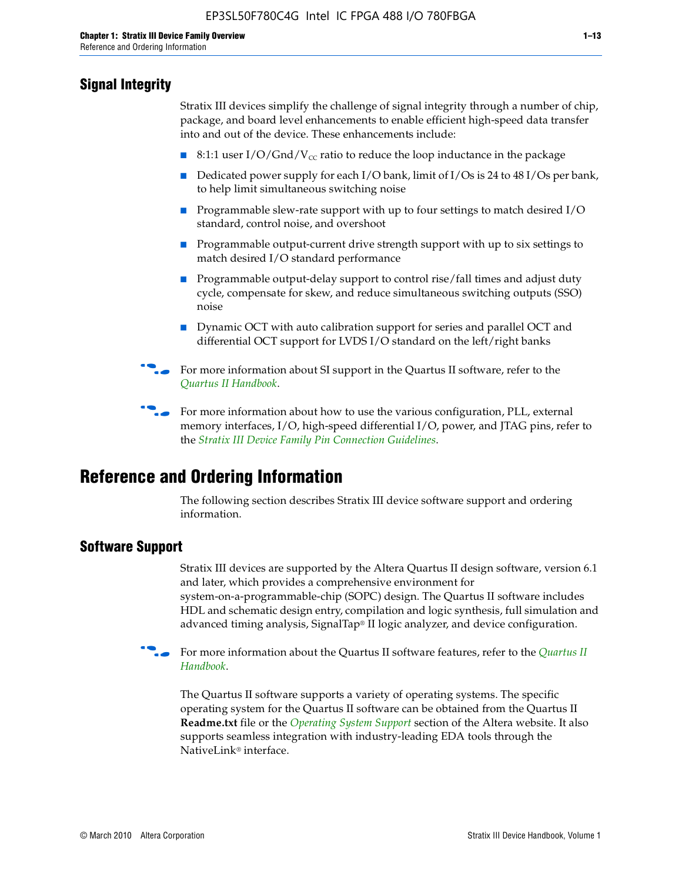# **Signal Integrity**

Stratix III devices simplify the challenge of signal integrity through a number of chip, package, and board level enhancements to enable efficient high-speed data transfer into and out of the device. These enhancements include:

- 8:1:1 user I/O/Gnd/V<sub>cc</sub> ratio to reduce the loop inductance in the package
- Dedicated power supply for each I/O bank, limit of I/Os is 24 to 48 I/Os per bank, to help limit simultaneous switching noise
- Programmable slew-rate support with up to four settings to match desired I/O standard, control noise, and overshoot
- Programmable output-current drive strength support with up to six settings to match desired I/O standard performance
- Programmable output-delay support to control rise/fall times and adjust duty cycle, compensate for skew, and reduce simultaneous switching outputs (SSO) noise
- Dynamic OCT with auto calibration support for series and parallel OCT and differential OCT support for LVDS I/O standard on the left/right banks
- For mor[e](http://www.altera.com/literature/hb/qts/quartusii_handbook.pdf) information about SI support in the Quartus II software, refer to the *[Quartus II Handbook](http://www.altera.com/literature/hb/qts/quartusii_handbook.pdf)*.

For more information about how to use the various configuration, PLL, external memory interfaces, I/O, high-speed differential I/O, power, and JTAG pins, refer to the *[Stratix III Device Family Pin Connection Guidelines](http://www.altera.com/literature/dp/stx3/PCG-01004.pdf)*.

# **Reference and Ordering Information**

The following section describes Stratix III device software support and ordering information.

## **Software Support**

Stratix III devices are supported by the Altera Quartus II design software, version 6.1 and later, which provides a comprehensive environment for system-on-a-programmable-chip (SOPC) design. The Quartus II software includes HDL and schematic design entry, compilation and logic synthesis, full simulation and advanced timing analysis, SignalTap® II logic analyzer, and device configuration.

**For more information about the [Quartus II](http://www.altera.com/literature/hb/qts/quartusii_handbook.pdf) software features, refer to the** *Quartus II* **<b>Fig. 7** *[Handbook](http://www.altera.com/literature/hb/qts/quartusii_handbook.pdf)*.

The Quartus II software supports a variety of operating systems. The specific operating system for the Quartus II software can be obtained from the Quartus II **Readme.txt** file or the *[Operating System Support](http://www.altera.com/support/software/os_support/oss-index.html)* section of the Altera website. It also supports seamless integration with industry-leading EDA tools through the NativeLink® interface.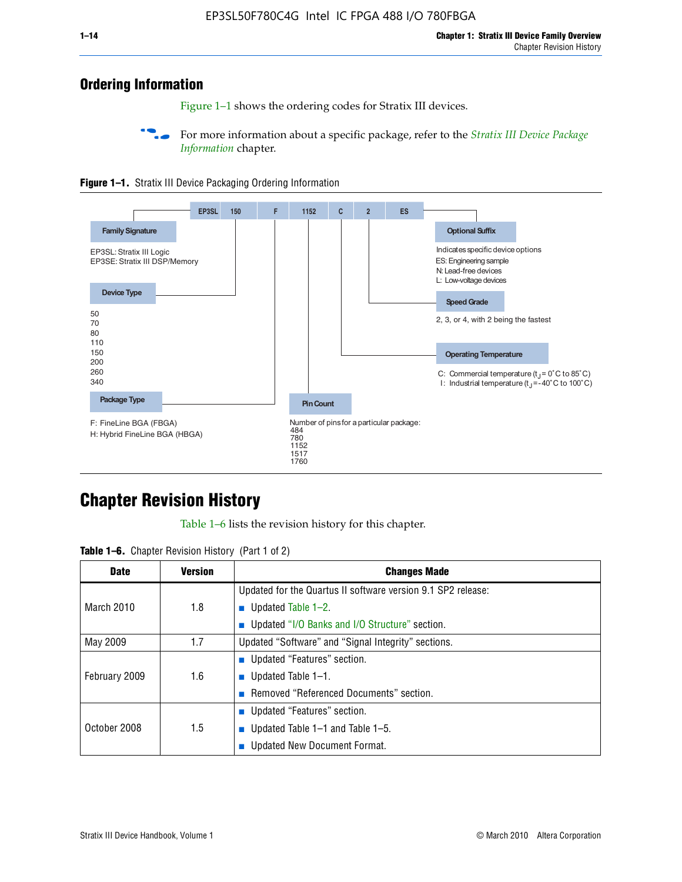# **Ordering Information**

Figure 1–1 shows the ordering codes for Stratix III devices.

For more information about a specific package, refer to the *Stratix III Device Package [Information](http://www.altera.com/literature/hb/stx3/stx3_siii51017.pdf)* chapter.





# **[C](http://www.altera.com/literature/hb/stx3/stx3_siii51012.pdf)hapter Revision History**

Table 1–6 lists the revision history for this chapter.

| <b>Table 1–6.</b> Chapter Revision History (Part 1 of 2) |  |  |  |  |  |
|----------------------------------------------------------|--|--|--|--|--|
|----------------------------------------------------------|--|--|--|--|--|

| <b>Date</b>       | <b>Version</b> | <b>Changes Made</b>                                          |
|-------------------|----------------|--------------------------------------------------------------|
|                   |                | Updated for the Quartus II software version 9.1 SP2 release: |
| <b>March 2010</b> | 1.8            | <b>u</b> Updated Table $1-2$ .                               |
|                   |                | ■ Updated "I/O Banks and I/O Structure" section.             |
| May 2009          | 1.7            | Updated "Software" and "Signal Integrity" sections.          |
|                   |                | ■ Updated "Features" section.                                |
| February 2009     | 1.6            | <b>u</b> Updated Table $1-1$ .                               |
|                   |                | Removed "Referenced Documents" section.                      |
|                   |                | ■ Updated "Features" section.                                |
| October 2008      | 1.5            | ■ Updated Table $1-1$ and Table $1-5$ .                      |
|                   |                | Updated New Document Format.                                 |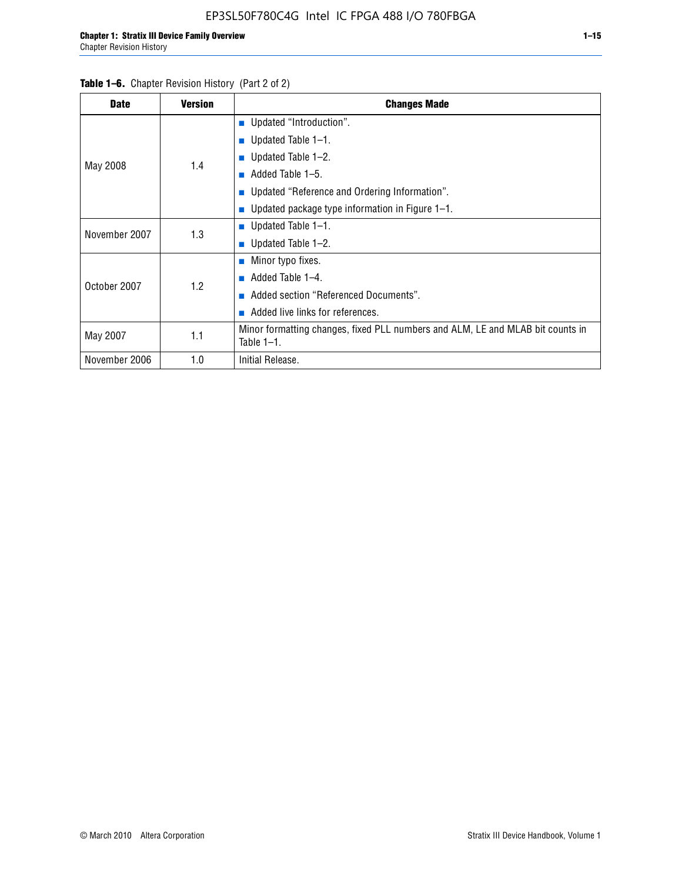#### Table 1–6. Chapter Revision History (Part 2 of 2)

| <b>Date</b>   | <b>Version</b> | <b>Changes Made</b>                                                                             |
|---------------|----------------|-------------------------------------------------------------------------------------------------|
|               |                | <b>Updated "Introduction".</b>                                                                  |
|               |                | ■ Updated Table $1-1$ .                                                                         |
|               | 1.4            | ■ Updated Table $1-2$ .                                                                         |
| May 2008      |                | Added Table 1-5.<br>m.                                                                          |
|               |                | ■ Updated "Reference and Ordering Information".                                                 |
|               |                | Updated package type information in Figure 1-1.                                                 |
| November 2007 | 1.3            | ■ Updated Table $1-1$ .                                                                         |
|               |                | ■ Updated Table $1-2$ .                                                                         |
|               |                | ■ Minor typo fixes.                                                                             |
| October 2007  | 1.2            | Added Table 1-4.                                                                                |
|               |                | Added section "Referenced Documents".                                                           |
|               |                | Added live links for references.                                                                |
| May 2007      | 1.1            | Minor formatting changes, fixed PLL numbers and ALM, LE and MLAB bit counts in<br>Table $1-1$ . |
| November 2006 | 1.0            | Initial Release.                                                                                |